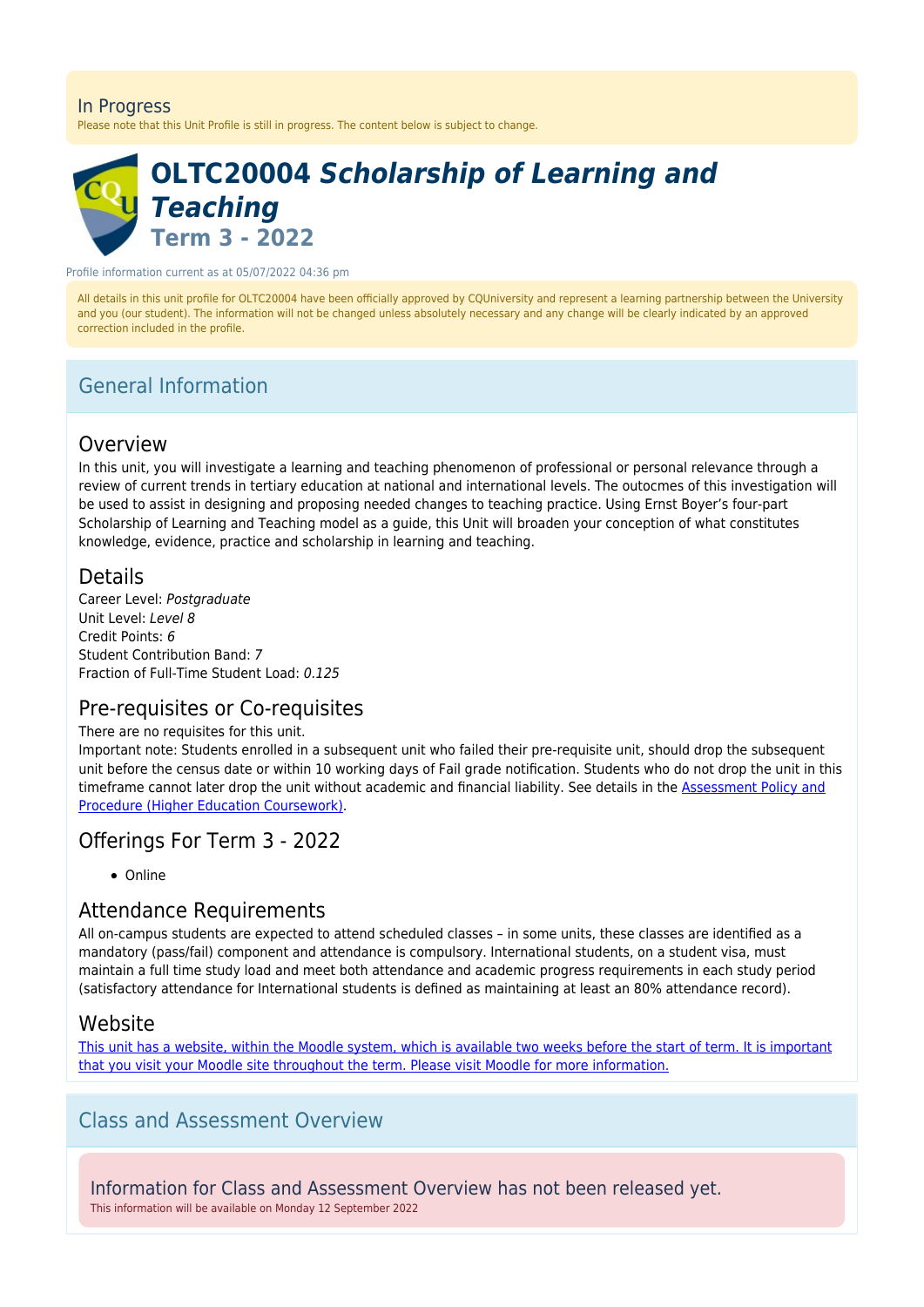#### In Progress

Please note that this Unit Profile is still in progress. The content below is subject to change.



# **OLTC20004** *Scholarship of Learning and Teaching* **Term 3 - 2022**

Profile information current as at 05/07/2022 04:36 pm

All details in this unit profile for OLTC20004 have been officially approved by CQUniversity and represent a learning partnership between the University and you (our student). The information will not be changed unless absolutely necessary and any change will be clearly indicated by an approved correction included in the profile.

# General Information

#### Overview

In this unit, you will investigate a learning and teaching phenomenon of professional or personal relevance through a review of current trends in tertiary education at national and international levels. The outocmes of this investigation will be used to assist in designing and proposing needed changes to teaching practice. Using Ernst Boyer's four-part Scholarship of Learning and Teaching model as a guide, this Unit will broaden your conception of what constitutes knowledge, evidence, practice and scholarship in learning and teaching.

#### Details

Career Level: Postgraduate Unit Level: Level 8 Credit Points: 6 Student Contribution Band: 7 Fraction of Full-Time Student Load: 0.125

### Pre-requisites or Co-requisites

#### There are no requisites for this unit.

Important note: Students enrolled in a subsequent unit who failed their pre-requisite unit, should drop the subsequent unit before the census date or within 10 working days of Fail grade notification. Students who do not drop the unit in this timeframe cannot later drop the unit without academic and financial liability. See details in the [Assessment Policy and](https://www.cqu.edu.au/policy) [Procedure \(Higher Education Coursework\)](https://www.cqu.edu.au/policy).

# Offerings For Term 3 - 2022

• Online

### Attendance Requirements

All on-campus students are expected to attend scheduled classes – in some units, these classes are identified as a mandatory (pass/fail) component and attendance is compulsory. International students, on a student visa, must maintain a full time study load and meet both attendance and academic progress requirements in each study period (satisfactory attendance for International students is defined as maintaining at least an 80% attendance record).

#### Website

[This unit has a website, within the Moodle system, which is available two weeks before the start of term. It is important](https://moodle.cqu.edu.au) [that you visit your Moodle site throughout the term. Please visit Moodle for more information.](https://moodle.cqu.edu.au)

## Class and Assessment Overview

Information for Class and Assessment Overview has not been released yet. This information will be available on Monday 12 September 2022